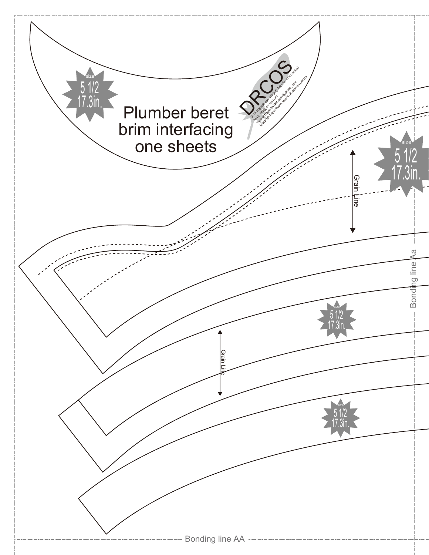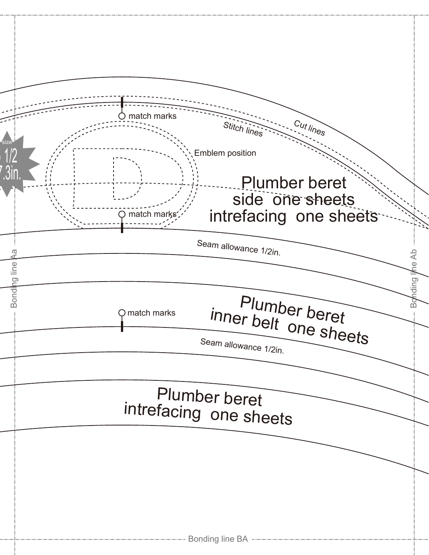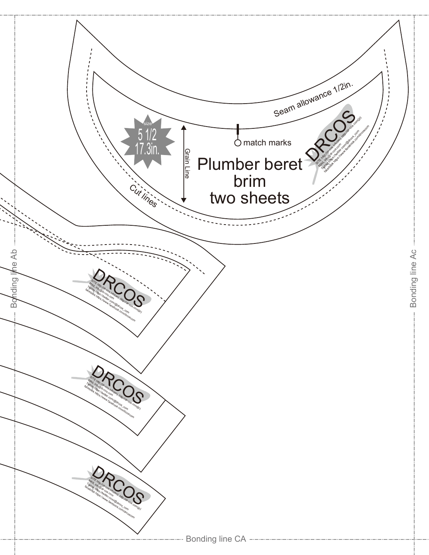